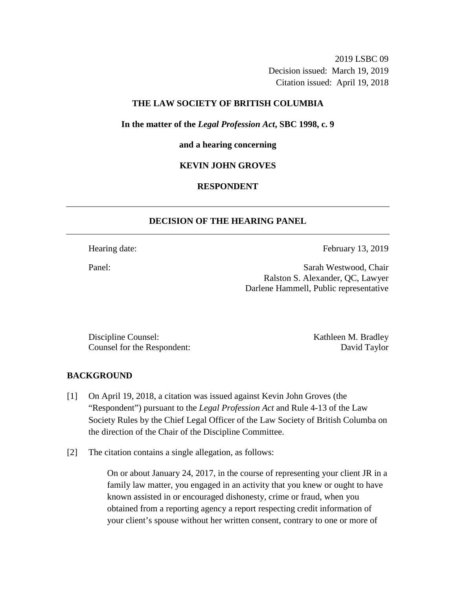2019 LSBC 09 Decision issued: March 19, 2019 Citation issued: April 19, 2018

## **THE LAW SOCIETY OF BRITISH COLUMBIA**

**In the matter of the** *Legal Profession Act***, SBC 1998, c. 9** 

#### **and a hearing concerning**

### **KEVIN JOHN GROVES**

## **RESPONDENT**

### **DECISION OF THE HEARING PANEL**

Hearing date: February 13, 2019

Panel: Sarah Westwood, Chair Ralston S. Alexander, QC, Lawyer Darlene Hammell, Public representative

Discipline Counsel: Kathleen M. Bradley Counsel for the Respondent: David Taylor

### **BACKGROUND**

- [1] On April 19, 2018, a citation was issued against Kevin John Groves (the "Respondent") pursuant to the *Legal Profession Act* and Rule 4-13 of the Law Society Rules by the Chief Legal Officer of the Law Society of British Columba on the direction of the Chair of the Discipline Committee.
- [2] The citation contains a single allegation, as follows:

On or about January 24, 2017, in the course of representing your client JR in a family law matter, you engaged in an activity that you knew or ought to have known assisted in or encouraged dishonesty, crime or fraud, when you obtained from a reporting agency a report respecting credit information of your client's spouse without her written consent, contrary to one or more of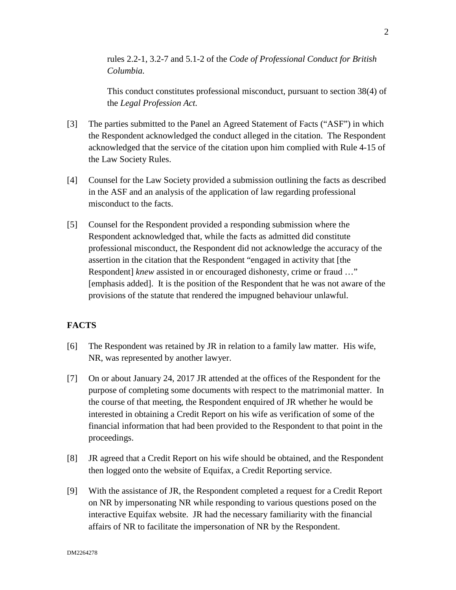rules 2.2-1, 3.2-7 and 5.1-2 of the *Code of Professional Conduct for British Columbia.* 

This conduct constitutes professional misconduct, pursuant to section 38(4) of the *Legal Profession Act.*

- [3] The parties submitted to the Panel an Agreed Statement of Facts ("ASF") in which the Respondent acknowledged the conduct alleged in the citation. The Respondent acknowledged that the service of the citation upon him complied with Rule 4-15 of the Law Society Rules.
- [4] Counsel for the Law Society provided a submission outlining the facts as described in the ASF and an analysis of the application of law regarding professional misconduct to the facts.
- [5] Counsel for the Respondent provided a responding submission where the Respondent acknowledged that, while the facts as admitted did constitute professional misconduct, the Respondent did not acknowledge the accuracy of the assertion in the citation that the Respondent "engaged in activity that [the Respondent] *knew* assisted in or encouraged dishonesty, crime or fraud …" [emphasis added]. It is the position of the Respondent that he was not aware of the provisions of the statute that rendered the impugned behaviour unlawful.

# **FACTS**

- [6] The Respondent was retained by JR in relation to a family law matter. His wife, NR, was represented by another lawyer.
- [7] On or about January 24, 2017 JR attended at the offices of the Respondent for the purpose of completing some documents with respect to the matrimonial matter. In the course of that meeting, the Respondent enquired of JR whether he would be interested in obtaining a Credit Report on his wife as verification of some of the financial information that had been provided to the Respondent to that point in the proceedings.
- [8] JR agreed that a Credit Report on his wife should be obtained, and the Respondent then logged onto the website of Equifax, a Credit Reporting service.
- [9] With the assistance of JR, the Respondent completed a request for a Credit Report on NR by impersonating NR while responding to various questions posed on the interactive Equifax website. JR had the necessary familiarity with the financial affairs of NR to facilitate the impersonation of NR by the Respondent.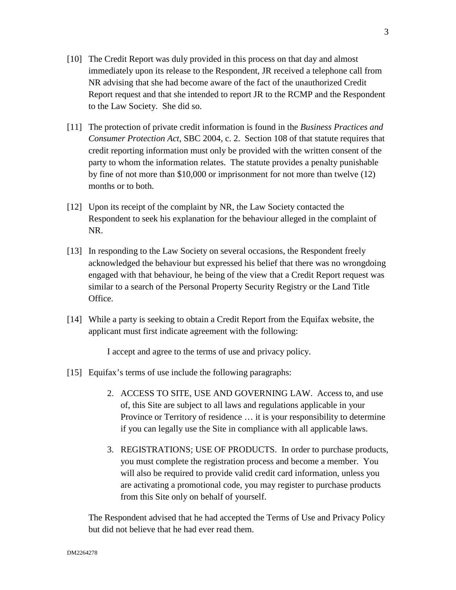- [10] The Credit Report was duly provided in this process on that day and almost immediately upon its release to the Respondent, JR received a telephone call from NR advising that she had become aware of the fact of the unauthorized Credit Report request and that she intended to report JR to the RCMP and the Respondent to the Law Society. She did so.
- [11] The protection of private credit information is found in the *Business Practices and Consumer Protection Act*, SBC 2004, c. 2. Section 108 of that statute requires that credit reporting information must only be provided with the written consent of the party to whom the information relates. The statute provides a penalty punishable by fine of not more than \$10,000 or imprisonment for not more than twelve (12) months or to both.
- [12] Upon its receipt of the complaint by NR, the Law Society contacted the Respondent to seek his explanation for the behaviour alleged in the complaint of NR.
- [13] In responding to the Law Society on several occasions, the Respondent freely acknowledged the behaviour but expressed his belief that there was no wrongdoing engaged with that behaviour, he being of the view that a Credit Report request was similar to a search of the Personal Property Security Registry or the Land Title Office.
- [14] While a party is seeking to obtain a Credit Report from the Equifax website, the applicant must first indicate agreement with the following:

I accept and agree to the terms of use and privacy policy.

- [15] Equifax's terms of use include the following paragraphs:
	- 2. ACCESS TO SITE, USE AND GOVERNING LAW. Access to, and use of, this Site are subject to all laws and regulations applicable in your Province or Territory of residence … it is your responsibility to determine if you can legally use the Site in compliance with all applicable laws.
	- 3. REGISTRATIONS; USE OF PRODUCTS. In order to purchase products, you must complete the registration process and become a member. You will also be required to provide valid credit card information, unless you are activating a promotional code, you may register to purchase products from this Site only on behalf of yourself.

The Respondent advised that he had accepted the Terms of Use and Privacy Policy but did not believe that he had ever read them.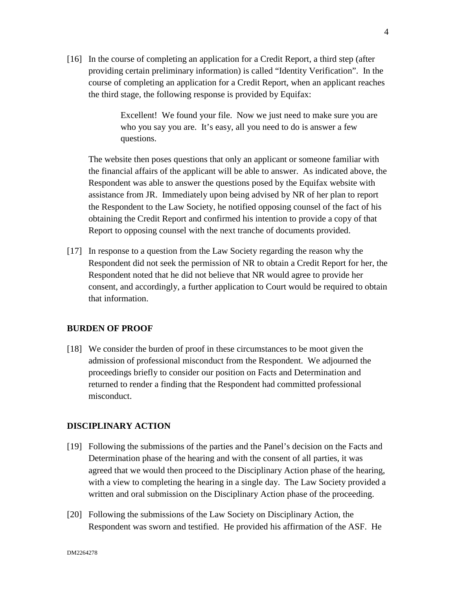[16] In the course of completing an application for a Credit Report, a third step (after providing certain preliminary information) is called "Identity Verification". In the course of completing an application for a Credit Report, when an applicant reaches the third stage, the following response is provided by Equifax:

> Excellent! We found your file. Now we just need to make sure you are who you say you are. It's easy, all you need to do is answer a few questions.

The website then poses questions that only an applicant or someone familiar with the financial affairs of the applicant will be able to answer. As indicated above, the Respondent was able to answer the questions posed by the Equifax website with assistance from JR. Immediately upon being advised by NR of her plan to report the Respondent to the Law Society, he notified opposing counsel of the fact of his obtaining the Credit Report and confirmed his intention to provide a copy of that Report to opposing counsel with the next tranche of documents provided.

[17] In response to a question from the Law Society regarding the reason why the Respondent did not seek the permission of NR to obtain a Credit Report for her, the Respondent noted that he did not believe that NR would agree to provide her consent, and accordingly, a further application to Court would be required to obtain that information.

### **BURDEN OF PROOF**

[18] We consider the burden of proof in these circumstances to be moot given the admission of professional misconduct from the Respondent. We adjourned the proceedings briefly to consider our position on Facts and Determination and returned to render a finding that the Respondent had committed professional misconduct.

# **DISCIPLINARY ACTION**

- [19] Following the submissions of the parties and the Panel's decision on the Facts and Determination phase of the hearing and with the consent of all parties, it was agreed that we would then proceed to the Disciplinary Action phase of the hearing, with a view to completing the hearing in a single day. The Law Society provided a written and oral submission on the Disciplinary Action phase of the proceeding.
- [20] Following the submissions of the Law Society on Disciplinary Action, the Respondent was sworn and testified. He provided his affirmation of the ASF. He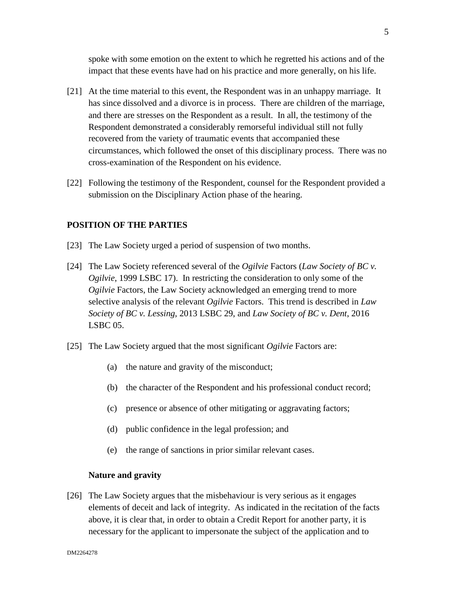spoke with some emotion on the extent to which he regretted his actions and of the impact that these events have had on his practice and more generally, on his life.

- [21] At the time material to this event, the Respondent was in an unhappy marriage. It has since dissolved and a divorce is in process. There are children of the marriage, and there are stresses on the Respondent as a result. In all, the testimony of the Respondent demonstrated a considerably remorseful individual still not fully recovered from the variety of traumatic events that accompanied these circumstances, which followed the onset of this disciplinary process. There was no cross-examination of the Respondent on his evidence.
- [22] Following the testimony of the Respondent, counsel for the Respondent provided a submission on the Disciplinary Action phase of the hearing.

### **POSITION OF THE PARTIES**

- [23] The Law Society urged a period of suspension of two months.
- [24] The Law Society referenced several of the *Ogilvie* Factors (*Law Society of BC v. Ogilvie*, 1999 LSBC 17). In restricting the consideration to only some of the *Ogilvie* Factors, the Law Society acknowledged an emerging trend to more selective analysis of the relevant *Ogilvie* Factors. This trend is described in *Law Society of BC v. Lessing*, 2013 LSBC 29, and *Law Society of BC v. Dent*, 2016 LSBC 05.
- [25] The Law Society argued that the most significant *Ogilvie* Factors are:
	- (a) the nature and gravity of the misconduct;
	- (b) the character of the Respondent and his professional conduct record;
	- (c) presence or absence of other mitigating or aggravating factors;
	- (d) public confidence in the legal profession; and
	- (e) the range of sanctions in prior similar relevant cases.

### **Nature and gravity**

[26] The Law Society argues that the misbehaviour is very serious as it engages elements of deceit and lack of integrity. As indicated in the recitation of the facts above, it is clear that, in order to obtain a Credit Report for another party, it is necessary for the applicant to impersonate the subject of the application and to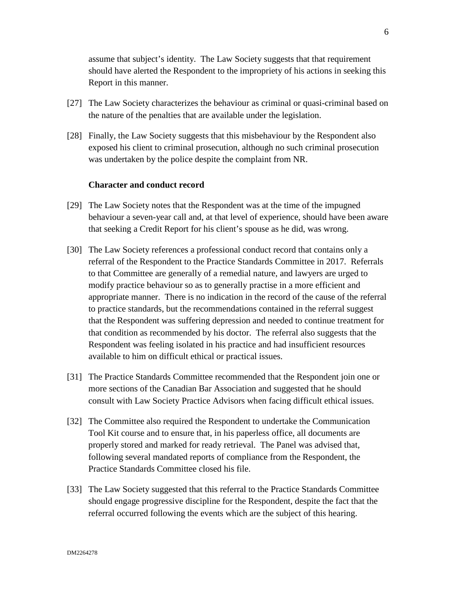assume that subject's identity. The Law Society suggests that that requirement should have alerted the Respondent to the impropriety of his actions in seeking this Report in this manner.

- [27] The Law Society characterizes the behaviour as criminal or quasi-criminal based on the nature of the penalties that are available under the legislation.
- [28] Finally, the Law Society suggests that this misbehaviour by the Respondent also exposed his client to criminal prosecution, although no such criminal prosecution was undertaken by the police despite the complaint from NR.

### **Character and conduct record**

- [29] The Law Society notes that the Respondent was at the time of the impugned behaviour a seven-year call and, at that level of experience, should have been aware that seeking a Credit Report for his client's spouse as he did, was wrong.
- [30] The Law Society references a professional conduct record that contains only a referral of the Respondent to the Practice Standards Committee in 2017. Referrals to that Committee are generally of a remedial nature, and lawyers are urged to modify practice behaviour so as to generally practise in a more efficient and appropriate manner. There is no indication in the record of the cause of the referral to practice standards, but the recommendations contained in the referral suggest that the Respondent was suffering depression and needed to continue treatment for that condition as recommended by his doctor. The referral also suggests that the Respondent was feeling isolated in his practice and had insufficient resources available to him on difficult ethical or practical issues.
- [31] The Practice Standards Committee recommended that the Respondent join one or more sections of the Canadian Bar Association and suggested that he should consult with Law Society Practice Advisors when facing difficult ethical issues.
- [32] The Committee also required the Respondent to undertake the Communication Tool Kit course and to ensure that, in his paperless office, all documents are properly stored and marked for ready retrieval. The Panel was advised that, following several mandated reports of compliance from the Respondent, the Practice Standards Committee closed his file.
- [33] The Law Society suggested that this referral to the Practice Standards Committee should engage progressive discipline for the Respondent, despite the fact that the referral occurred following the events which are the subject of this hearing.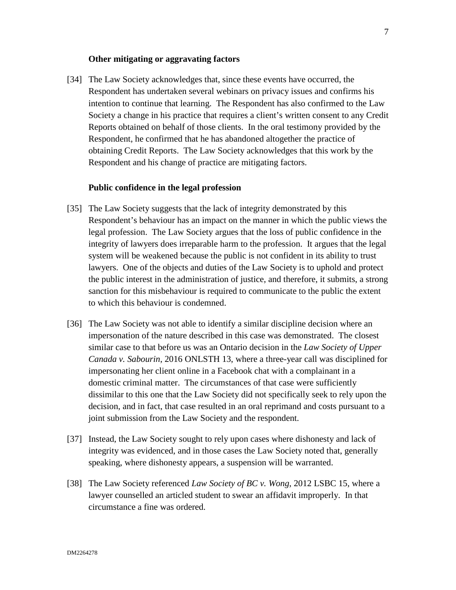#### **Other mitigating or aggravating factors**

[34] The Law Society acknowledges that, since these events have occurred, the Respondent has undertaken several webinars on privacy issues and confirms his intention to continue that learning. The Respondent has also confirmed to the Law Society a change in his practice that requires a client's written consent to any Credit Reports obtained on behalf of those clients. In the oral testimony provided by the Respondent, he confirmed that he has abandoned altogether the practice of obtaining Credit Reports. The Law Society acknowledges that this work by the Respondent and his change of practice are mitigating factors.

### **Public confidence in the legal profession**

- [35] The Law Society suggests that the lack of integrity demonstrated by this Respondent's behaviour has an impact on the manner in which the public views the legal profession. The Law Society argues that the loss of public confidence in the integrity of lawyers does irreparable harm to the profession. It argues that the legal system will be weakened because the public is not confident in its ability to trust lawyers. One of the objects and duties of the Law Society is to uphold and protect the public interest in the administration of justice, and therefore, it submits, a strong sanction for this misbehaviour is required to communicate to the public the extent to which this behaviour is condemned.
- [36] The Law Society was not able to identify a similar discipline decision where an impersonation of the nature described in this case was demonstrated. The closest similar case to that before us was an Ontario decision in the *Law Society of Upper Canada v. Sabourin*, 2016 ONLSTH 13, where a three-year call was disciplined for impersonating her client online in a Facebook chat with a complainant in a domestic criminal matter. The circumstances of that case were sufficiently dissimilar to this one that the Law Society did not specifically seek to rely upon the decision, and in fact, that case resulted in an oral reprimand and costs pursuant to a joint submission from the Law Society and the respondent.
- [37] Instead, the Law Society sought to rely upon cases where dishonesty and lack of integrity was evidenced, and in those cases the Law Society noted that, generally speaking, where dishonesty appears, a suspension will be warranted.
- [38] The Law Society referenced *Law Society of BC v. Wong*, 2012 LSBC 15, where a lawyer counselled an articled student to swear an affidavit improperly. In that circumstance a fine was ordered.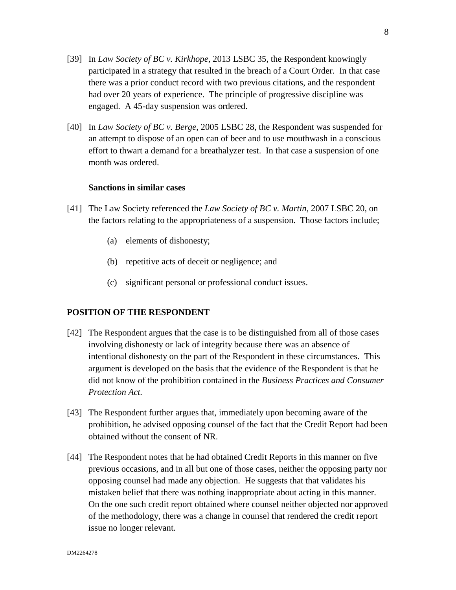- [39] In *Law Society of BC v. Kirkhope*, 2013 LSBC 35, the Respondent knowingly participated in a strategy that resulted in the breach of a Court Order. In that case there was a prior conduct record with two previous citations, and the respondent had over 20 years of experience. The principle of progressive discipline was engaged. A 45-day suspension was ordered.
- [40] In *Law Society of BC v. Berge*, 2005 LSBC 28, the Respondent was suspended for an attempt to dispose of an open can of beer and to use mouthwash in a conscious effort to thwart a demand for a breathalyzer test. In that case a suspension of one month was ordered.

### **Sanctions in similar cases**

- [41] The Law Society referenced the *Law Society of BC v. Martin*, 2007 LSBC 20, on the factors relating to the appropriateness of a suspension. Those factors include;
	- (a) elements of dishonesty;
	- (b) repetitive acts of deceit or negligence; and
	- (c) significant personal or professional conduct issues.

## **POSITION OF THE RESPONDENT**

- [42] The Respondent argues that the case is to be distinguished from all of those cases involving dishonesty or lack of integrity because there was an absence of intentional dishonesty on the part of the Respondent in these circumstances. This argument is developed on the basis that the evidence of the Respondent is that he did not know of the prohibition contained in the *Business Practices and Consumer Protection Act.*
- [43] The Respondent further argues that, immediately upon becoming aware of the prohibition, he advised opposing counsel of the fact that the Credit Report had been obtained without the consent of NR.
- [44] The Respondent notes that he had obtained Credit Reports in this manner on five previous occasions, and in all but one of those cases, neither the opposing party nor opposing counsel had made any objection. He suggests that that validates his mistaken belief that there was nothing inappropriate about acting in this manner. On the one such credit report obtained where counsel neither objected nor approved of the methodology, there was a change in counsel that rendered the credit report issue no longer relevant.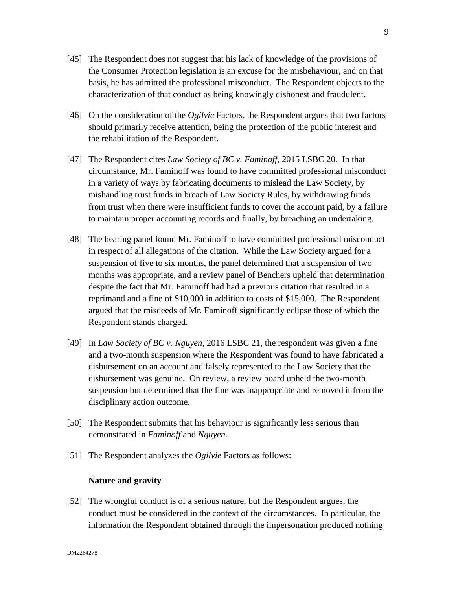- [45] The Respondent does not suggest that his lack of knowledge of the provisions of the Consumer Protection legislation is an excuse for the misbehaviour, and on that basis, he has admitted the professional misconduct. The Respondent objects to the characterization of that conduct as being knowingly dishonest and fraudulent.
- [46] On the consideration of the *Ogilvie* Factors, the Respondent argues that two factors should primarily receive attention, being the protection of the public interest and the rehabilitation of the Respondent.
- [47] The Respondent cites *Law Society of BC v. Faminoff*, 2015 LSBC 20. In that circumstance, Mr. Faminoff was found to have committed professional misconduct in a variety of ways by fabricating documents to mislead the Law Society, by mishandling trust funds in breach of Law Society Rules, by withdrawing funds from trust when there were insufficient funds to cover the account paid, by a failure to maintain proper accounting records and finally, by breaching an undertaking.
- [48] The hearing panel found Mr. Faminoff to have committed professional misconduct in respect of all allegations of the citation. While the Law Society argued for a suspension of five to six months, the panel determined that a suspension of two months was appropriate, and a review panel of Benchers upheld that determination despite the fact that Mr. Faminoff had had a previous citation that resulted in a reprimand and a fine of \$10,000 in addition to costs of \$15,000. The Respondent argued that the misdeeds of Mr. Faminoff significantly eclipse those of which the Respondent stands charged.
- [49] In *Law Society of BC v. Nguyen*, 2016 LSBC 21, the respondent was given a fine and a two-month suspension where the Respondent was found to have fabricated a disbursement on an account and falsely represented to the Law Society that the disbursement was genuine. On review, a review board upheld the two-month suspension but determined that the fine was inappropriate and removed it from the disciplinary action outcome.
- [50] The Respondent submits that his behaviour is significantly less serious than demonstrated in *Faminoff* and *Nguyen*.
- [51] The Respondent analyzes the *Ogilvie* Factors as follows:

# **Nature and gravity**

[52] The wrongful conduct is of a serious nature, but the Respondent argues, the conduct must be considered in the context of the circumstances. In particular, the information the Respondent obtained through the impersonation produced nothing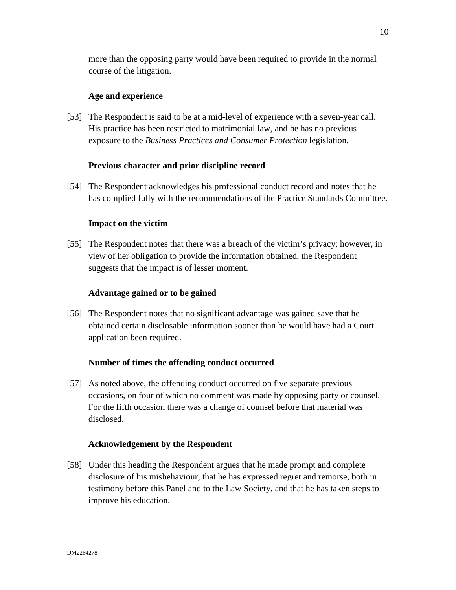more than the opposing party would have been required to provide in the normal course of the litigation.

# **Age and experience**

[53] The Respondent is said to be at a mid-level of experience with a seven-year call. His practice has been restricted to matrimonial law, and he has no previous exposure to the *Business Practices and Consumer Protection* legislation.

### **Previous character and prior discipline record**

[54] The Respondent acknowledges his professional conduct record and notes that he has complied fully with the recommendations of the Practice Standards Committee.

### **Impact on the victim**

[55] The Respondent notes that there was a breach of the victim's privacy; however, in view of her obligation to provide the information obtained, the Respondent suggests that the impact is of lesser moment.

### **Advantage gained or to be gained**

[56] The Respondent notes that no significant advantage was gained save that he obtained certain disclosable information sooner than he would have had a Court application been required.

### **Number of times the offending conduct occurred**

[57] As noted above, the offending conduct occurred on five separate previous occasions, on four of which no comment was made by opposing party or counsel. For the fifth occasion there was a change of counsel before that material was disclosed.

### **Acknowledgement by the Respondent**

[58] Under this heading the Respondent argues that he made prompt and complete disclosure of his misbehaviour, that he has expressed regret and remorse, both in testimony before this Panel and to the Law Society, and that he has taken steps to improve his education.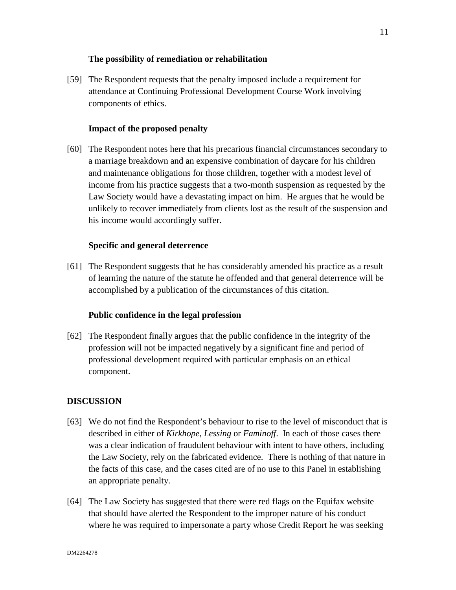## **The possibility of remediation or rehabilitation**

[59] The Respondent requests that the penalty imposed include a requirement for attendance at Continuing Professional Development Course Work involving components of ethics.

# **Impact of the proposed penalty**

[60] The Respondent notes here that his precarious financial circumstances secondary to a marriage breakdown and an expensive combination of daycare for his children and maintenance obligations for those children, together with a modest level of income from his practice suggests that a two-month suspension as requested by the Law Society would have a devastating impact on him. He argues that he would be unlikely to recover immediately from clients lost as the result of the suspension and his income would accordingly suffer.

### **Specific and general deterrence**

[61] The Respondent suggests that he has considerably amended his practice as a result of learning the nature of the statute he offended and that general deterrence will be accomplished by a publication of the circumstances of this citation.

### **Public confidence in the legal profession**

[62] The Respondent finally argues that the public confidence in the integrity of the profession will not be impacted negatively by a significant fine and period of professional development required with particular emphasis on an ethical component.

### **DISCUSSION**

- [63] We do not find the Respondent's behaviour to rise to the level of misconduct that is described in either of *Kirkhope*, *Lessing* or *Faminoff*. In each of those cases there was a clear indication of fraudulent behaviour with intent to have others, including the Law Society, rely on the fabricated evidence. There is nothing of that nature in the facts of this case, and the cases cited are of no use to this Panel in establishing an appropriate penalty.
- [64] The Law Society has suggested that there were red flags on the Equifax website that should have alerted the Respondent to the improper nature of his conduct where he was required to impersonate a party whose Credit Report he was seeking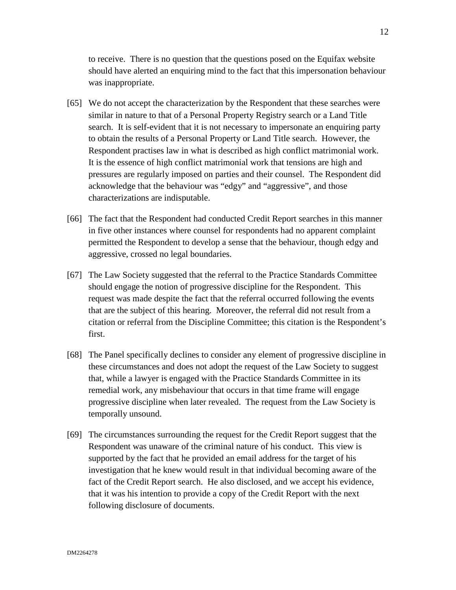to receive. There is no question that the questions posed on the Equifax website should have alerted an enquiring mind to the fact that this impersonation behaviour was inappropriate.

- [65] We do not accept the characterization by the Respondent that these searches were similar in nature to that of a Personal Property Registry search or a Land Title search. It is self-evident that it is not necessary to impersonate an enquiring party to obtain the results of a Personal Property or Land Title search. However, the Respondent practises law in what is described as high conflict matrimonial work. It is the essence of high conflict matrimonial work that tensions are high and pressures are regularly imposed on parties and their counsel. The Respondent did acknowledge that the behaviour was "edgy" and "aggressive", and those characterizations are indisputable.
- [66] The fact that the Respondent had conducted Credit Report searches in this manner in five other instances where counsel for respondents had no apparent complaint permitted the Respondent to develop a sense that the behaviour, though edgy and aggressive, crossed no legal boundaries.
- [67] The Law Society suggested that the referral to the Practice Standards Committee should engage the notion of progressive discipline for the Respondent. This request was made despite the fact that the referral occurred following the events that are the subject of this hearing. Moreover, the referral did not result from a citation or referral from the Discipline Committee; this citation is the Respondent's first.
- [68] The Panel specifically declines to consider any element of progressive discipline in these circumstances and does not adopt the request of the Law Society to suggest that, while a lawyer is engaged with the Practice Standards Committee in its remedial work, any misbehaviour that occurs in that time frame will engage progressive discipline when later revealed. The request from the Law Society is temporally unsound.
- [69] The circumstances surrounding the request for the Credit Report suggest that the Respondent was unaware of the criminal nature of his conduct. This view is supported by the fact that he provided an email address for the target of his investigation that he knew would result in that individual becoming aware of the fact of the Credit Report search. He also disclosed, and we accept his evidence, that it was his intention to provide a copy of the Credit Report with the next following disclosure of documents.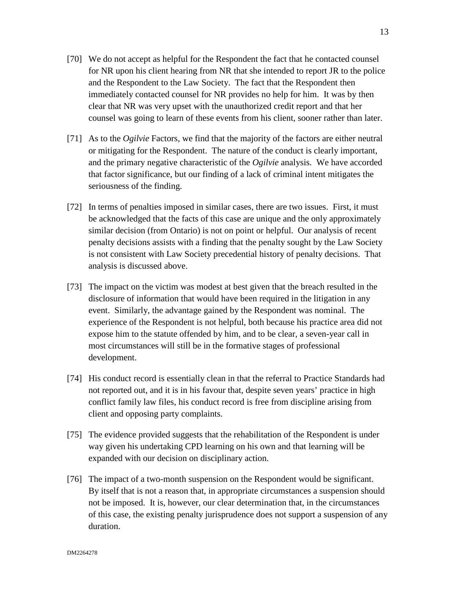- [70] We do not accept as helpful for the Respondent the fact that he contacted counsel for NR upon his client hearing from NR that she intended to report JR to the police and the Respondent to the Law Society. The fact that the Respondent then immediately contacted counsel for NR provides no help for him. It was by then clear that NR was very upset with the unauthorized credit report and that her counsel was going to learn of these events from his client, sooner rather than later.
- [71] As to the *Ogilvie* Factors, we find that the majority of the factors are either neutral or mitigating for the Respondent. The nature of the conduct is clearly important, and the primary negative characteristic of the *Ogilvie* analysis. We have accorded that factor significance, but our finding of a lack of criminal intent mitigates the seriousness of the finding.
- [72] In terms of penalties imposed in similar cases, there are two issues. First, it must be acknowledged that the facts of this case are unique and the only approximately similar decision (from Ontario) is not on point or helpful. Our analysis of recent penalty decisions assists with a finding that the penalty sought by the Law Society is not consistent with Law Society precedential history of penalty decisions. That analysis is discussed above.
- [73] The impact on the victim was modest at best given that the breach resulted in the disclosure of information that would have been required in the litigation in any event. Similarly, the advantage gained by the Respondent was nominal. The experience of the Respondent is not helpful, both because his practice area did not expose him to the statute offended by him, and to be clear, a seven-year call in most circumstances will still be in the formative stages of professional development.
- [74] His conduct record is essentially clean in that the referral to Practice Standards had not reported out, and it is in his favour that, despite seven years' practice in high conflict family law files, his conduct record is free from discipline arising from client and opposing party complaints.
- [75] The evidence provided suggests that the rehabilitation of the Respondent is under way given his undertaking CPD learning on his own and that learning will be expanded with our decision on disciplinary action.
- [76] The impact of a two-month suspension on the Respondent would be significant. By itself that is not a reason that, in appropriate circumstances a suspension should not be imposed. It is, however, our clear determination that, in the circumstances of this case, the existing penalty jurisprudence does not support a suspension of any duration.